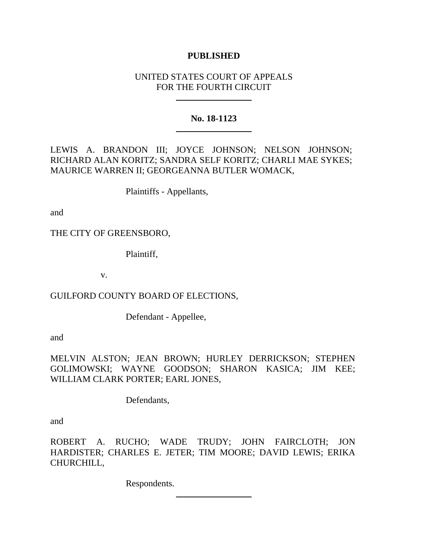# **PUBLISHED**

# UNITED STATES COURT OF APPEALS FOR THE FOURTH CIRCUIT

## **No. 18-1123**

LEWIS A. BRANDON III; JOYCE JOHNSON; NELSON JOHNSON; RICHARD ALAN KORITZ; SANDRA SELF KORITZ; CHARLI MAE SYKES; MAURICE WARREN II; GEORGEANNA BUTLER WOMACK,

Plaintiffs - Appellants,

and

THE CITY OF GREENSBORO,

Plaintiff,

v.

GUILFORD COUNTY BOARD OF ELECTIONS,

Defendant - Appellee,

and

MELVIN ALSTON; JEAN BROWN; HURLEY DERRICKSON; STEPHEN GOLIMOWSKI; WAYNE GOODSON; SHARON KASICA; JIM KEE; WILLIAM CLARK PORTER; EARL JONES,

Defendants,

and

ROBERT A. RUCHO; WADE TRUDY; JOHN FAIRCLOTH; JON HARDISTER; CHARLES E. JETER; TIM MOORE; DAVID LEWIS; ERIKA CHURCHILL,

Respondents.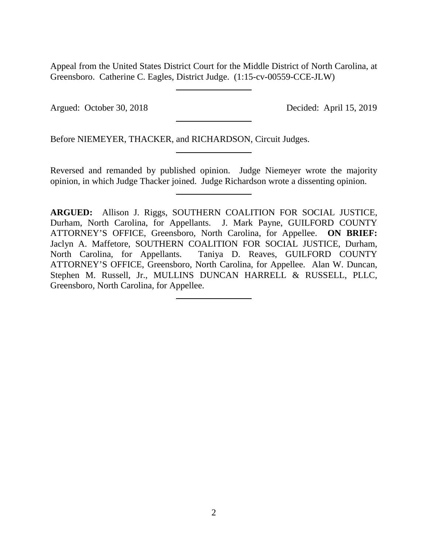Appeal from the United States District Court for the Middle District of North Carolina, at Greensboro. Catherine C. Eagles, District Judge. (1:15-cv-00559-CCE-JLW)

Argued: October 30, 2018 Decided: April 15, 2019

Before NIEMEYER, THACKER, and RICHARDSON, Circuit Judges.

Reversed and remanded by published opinion. Judge Niemeyer wrote the majority opinion, in which Judge Thacker joined. Judge Richardson wrote a dissenting opinion.

**ARGUED:** Allison J. Riggs, SOUTHERN COALITION FOR SOCIAL JUSTICE, Durham, North Carolina, for Appellants. J. Mark Payne, GUILFORD COUNTY ATTORNEY'S OFFICE, Greensboro, North Carolina, for Appellee. **ON BRIEF:** Jaclyn A. Maffetore, SOUTHERN COALITION FOR SOCIAL JUSTICE, Durham, North Carolina, for Appellants. Taniya D. Reaves, GUILFORD COUNTY ATTORNEY'S OFFICE, Greensboro, North Carolina, for Appellee. Alan W. Duncan, Stephen M. Russell, Jr., MULLINS DUNCAN HARRELL & RUSSELL, PLLC, Greensboro, North Carolina, for Appellee.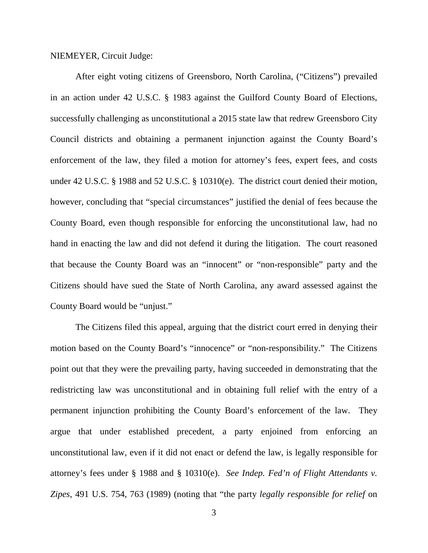#### NIEMEYER, Circuit Judge:

After eight voting citizens of Greensboro, North Carolina, ("Citizens") prevailed in an action under 42 U.S.C. § 1983 against the Guilford County Board of Elections, successfully challenging as unconstitutional a 2015 state law that redrew Greensboro City Council districts and obtaining a permanent injunction against the County Board's enforcement of the law, they filed a motion for attorney's fees, expert fees, and costs under 42 U.S.C. § 1988 and 52 U.S.C. § 10310(e). The district court denied their motion, however, concluding that "special circumstances" justified the denial of fees because the County Board, even though responsible for enforcing the unconstitutional law, had no hand in enacting the law and did not defend it during the litigation. The court reasoned that because the County Board was an "innocent" or "non-responsible" party and the Citizens should have sued the State of North Carolina, any award assessed against the County Board would be "unjust."

The Citizens filed this appeal, arguing that the district court erred in denying their motion based on the County Board's "innocence" or "non-responsibility." The Citizens point out that they were the prevailing party, having succeeded in demonstrating that the redistricting law was unconstitutional and in obtaining full relief with the entry of a permanent injunction prohibiting the County Board's enforcement of the law. They argue that under established precedent, a party enjoined from enforcing an unconstitutional law, even if it did not enact or defend the law, is legally responsible for attorney's fees under § 1988 and § 10310(e). *See Indep. Fed'n of Flight Attendants v. Zipes*, 491 U.S. 754, 763 (1989) (noting that "the party *legally responsible for relief* on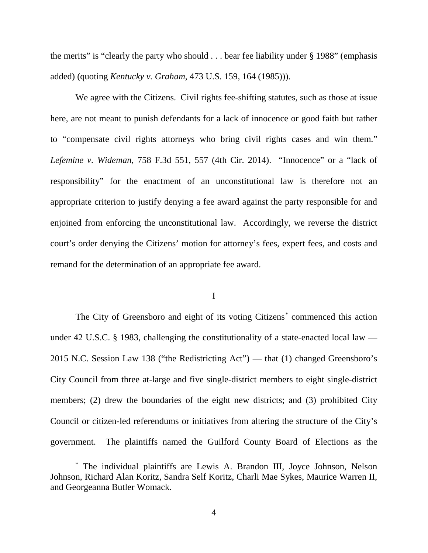the merits" is "clearly the party who should  $\ldots$  bear fee liability under § 1988" (emphasis added) (quoting *Kentucky v. Graham*, 473 U.S. 159, 164 (1985))).

We agree with the Citizens. Civil rights fee-shifting statutes, such as those at issue here, are not meant to punish defendants for a lack of innocence or good faith but rather to "compensate civil rights attorneys who bring civil rights cases and win them." *Lefemine v. Wideman*, 758 F.3d 551, 557 (4th Cir. 2014). "Innocence" or a "lack of responsibility" for the enactment of an unconstitutional law is therefore not an appropriate criterion to justify denying a fee award against the party responsible for and enjoined from enforcing the unconstitutional law. Accordingly, we reverse the district court's order denying the Citizens' motion for attorney's fees, expert fees, and costs and remand for the determination of an appropriate fee award.

## I

The City of Greensboro and eight of its voting Citizens[\\*](#page-3-0) commenced this action under 42 U.S.C. § 1983, challenging the constitutionality of a state-enacted local law — 2015 N.C. Session Law 138 ("the Redistricting Act") — that (1) changed Greensboro's City Council from three at-large and five single-district members to eight single-district members; (2) drew the boundaries of the eight new districts; and (3) prohibited City Council or citizen-led referendums or initiatives from altering the structure of the City's government. The plaintiffs named the Guilford County Board of Elections as the

<span id="page-3-0"></span> <sup>\*</sup> The individual plaintiffs are Lewis A. Brandon III, Joyce Johnson, Nelson Johnson, Richard Alan Koritz, Sandra Self Koritz, Charli Mae Sykes, Maurice Warren II, and Georgeanna Butler Womack.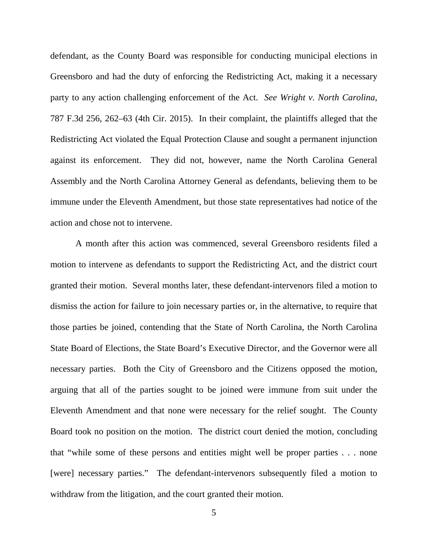defendant, as the County Board was responsible for conducting municipal elections in Greensboro and had the duty of enforcing the Redistricting Act, making it a necessary party to any action challenging enforcement of the Act. *See Wright v. North Carolina*, 787 F.3d 256, 262–63 (4th Cir. 2015). In their complaint, the plaintiffs alleged that the Redistricting Act violated the Equal Protection Clause and sought a permanent injunction against its enforcement. They did not, however, name the North Carolina General Assembly and the North Carolina Attorney General as defendants, believing them to be immune under the Eleventh Amendment, but those state representatives had notice of the action and chose not to intervene.

A month after this action was commenced, several Greensboro residents filed a motion to intervene as defendants to support the Redistricting Act, and the district court granted their motion. Several months later, these defendant-intervenors filed a motion to dismiss the action for failure to join necessary parties or, in the alternative, to require that those parties be joined, contending that the State of North Carolina, the North Carolina State Board of Elections, the State Board's Executive Director, and the Governor were all necessary parties. Both the City of Greensboro and the Citizens opposed the motion, arguing that all of the parties sought to be joined were immune from suit under the Eleventh Amendment and that none were necessary for the relief sought. The County Board took no position on the motion. The district court denied the motion, concluding that "while some of these persons and entities might well be proper parties . . . none [were] necessary parties." The defendant-intervenors subsequently filed a motion to withdraw from the litigation, and the court granted their motion.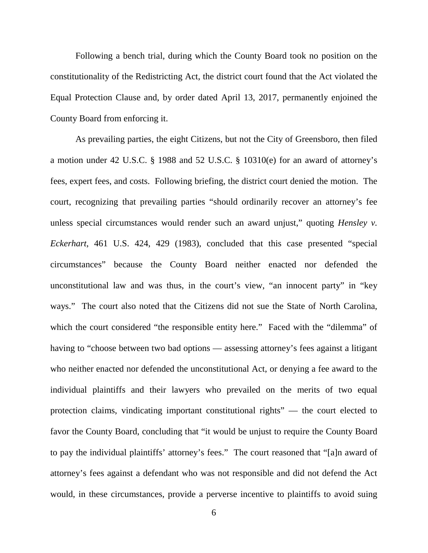Following a bench trial, during which the County Board took no position on the constitutionality of the Redistricting Act, the district court found that the Act violated the Equal Protection Clause and, by order dated April 13, 2017, permanently enjoined the County Board from enforcing it.

As prevailing parties, the eight Citizens, but not the City of Greensboro, then filed a motion under 42 U.S.C. § 1988 and 52 U.S.C. § 10310(e) for an award of attorney's fees, expert fees, and costs. Following briefing, the district court denied the motion. The court, recognizing that prevailing parties "should ordinarily recover an attorney's fee unless special circumstances would render such an award unjust," quoting *Hensley v. Eckerhart*, 461 U.S. 424, 429 (1983), concluded that this case presented "special circumstances" because the County Board neither enacted nor defended the unconstitutional law and was thus, in the court's view, "an innocent party" in "key ways." The court also noted that the Citizens did not sue the State of North Carolina, which the court considered "the responsible entity here." Faced with the "dilemma" of having to "choose between two bad options — assessing attorney's fees against a litigant who neither enacted nor defended the unconstitutional Act, or denying a fee award to the individual plaintiffs and their lawyers who prevailed on the merits of two equal protection claims, vindicating important constitutional rights" — the court elected to favor the County Board, concluding that "it would be unjust to require the County Board to pay the individual plaintiffs' attorney's fees." The court reasoned that "[a]n award of attorney's fees against a defendant who was not responsible and did not defend the Act would, in these circumstances, provide a perverse incentive to plaintiffs to avoid suing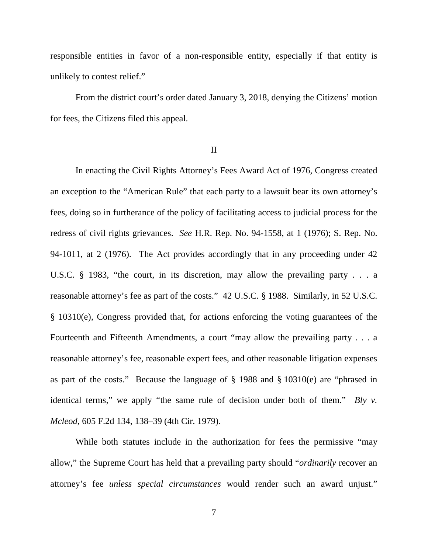responsible entities in favor of a non-responsible entity, especially if that entity is unlikely to contest relief."

From the district court's order dated January 3, 2018, denying the Citizens' motion for fees, the Citizens filed this appeal.

II

In enacting the Civil Rights Attorney's Fees Award Act of 1976, Congress created an exception to the "American Rule" that each party to a lawsuit bear its own attorney's fees, doing so in furtherance of the policy of facilitating access to judicial process for the redress of civil rights grievances. *See* H.R. Rep. No. 94-1558, at 1 (1976); S. Rep. No. 94-1011, at 2 (1976). The Act provides accordingly that in any proceeding under 42 U.S.C. § 1983, "the court, in its discretion, may allow the prevailing party . . . a reasonable attorney's fee as part of the costs." 42 U.S.C. § 1988. Similarly, in 52 U.S.C. § 10310(e), Congress provided that, for actions enforcing the voting guarantees of the Fourteenth and Fifteenth Amendments, a court "may allow the prevailing party . . . a reasonable attorney's fee, reasonable expert fees, and other reasonable litigation expenses as part of the costs." Because the language of § 1988 and § 10310(e) are "phrased in identical terms," we apply "the same rule of decision under both of them." *Bly v. Mcleod*, 605 F.2d 134, 138–39 (4th Cir. 1979).

While both statutes include in the authorization for fees the permissive "may allow," the Supreme Court has held that a prevailing party should "*ordinarily* recover an attorney's fee *unless special circumstances* would render such an award unjust."

7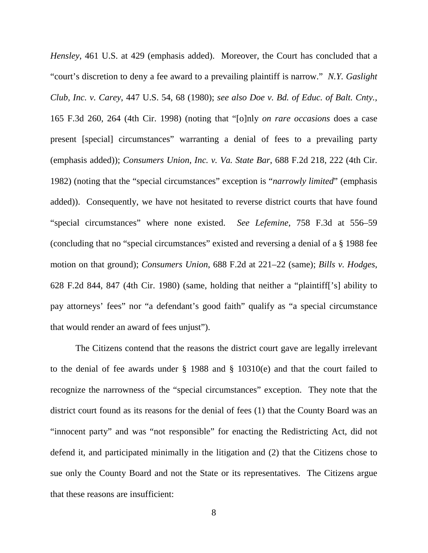*Hensley*, 461 U.S. at 429 (emphasis added). Moreover, the Court has concluded that a "court's discretion to deny a fee award to a prevailing plaintiff is narrow." *N.Y. Gaslight Club, Inc. v. Carey*, 447 U.S. 54, 68 (1980); *see also Doe v. Bd. of Educ. of Balt. Cnty.*, 165 F.3d 260, 264 (4th Cir. 1998) (noting that "[o]nly *on rare occasions* does a case present [special] circumstances" warranting a denial of fees to a prevailing party (emphasis added)); *Consumers Union, Inc. v. Va. State Bar*, 688 F.2d 218, 222 (4th Cir. 1982) (noting that the "special circumstances" exception is "*narrowly limited*" (emphasis added)). Consequently, we have not hesitated to reverse district courts that have found "special circumstances" where none existed. *See Lefemine*, 758 F.3d at 556–59 (concluding that no "special circumstances" existed and reversing a denial of a § 1988 fee motion on that ground); *Consumers Union*, 688 F.2d at 221–22 (same); *Bills v. Hodges*, 628 F.2d 844, 847 (4th Cir. 1980) (same, holding that neither a "plaintiff['s] ability to pay attorneys' fees" nor "a defendant's good faith" qualify as "a special circumstance that would render an award of fees unjust").

The Citizens contend that the reasons the district court gave are legally irrelevant to the denial of fee awards under § 1988 and § 10310(e) and that the court failed to recognize the narrowness of the "special circumstances" exception. They note that the district court found as its reasons for the denial of fees (1) that the County Board was an "innocent party" and was "not responsible" for enacting the Redistricting Act, did not defend it, and participated minimally in the litigation and (2) that the Citizens chose to sue only the County Board and not the State or its representatives. The Citizens argue that these reasons are insufficient: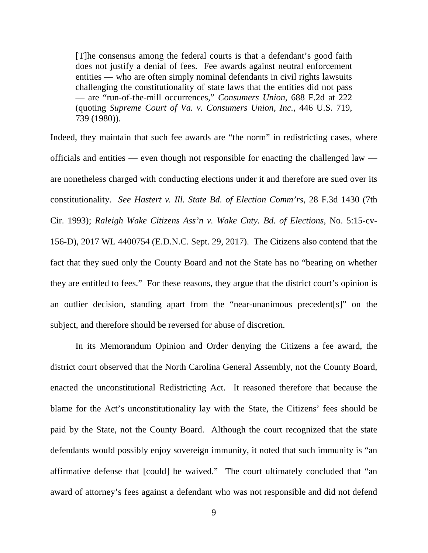[T]he consensus among the federal courts is that a defendant's good faith does not justify a denial of fees. Fee awards against neutral enforcement entities — who are often simply nominal defendants in civil rights lawsuits challenging the constitutionality of state laws that the entities did not pass — are "run-of-the-mill occurrences," *Consumers Union*, 688 F.2d at 222 (quoting *Supreme Court of Va. v. Consumers Union, Inc.*, 446 U.S. 719, 739 (1980)).

Indeed, they maintain that such fee awards are "the norm" in redistricting cases, where officials and entities — even though not responsible for enacting the challenged law are nonetheless charged with conducting elections under it and therefore are sued over its constitutionality. *See Hastert v. Ill. State Bd. of Election Comm'rs*, 28 F.3d 1430 (7th Cir. 1993); *Raleigh Wake Citizens Ass'n v. Wake Cnty. Bd. of Elections*, No. 5:15-cv-156-D), 2017 WL 4400754 (E.D.N.C. Sept. 29, 2017). The Citizens also contend that the fact that they sued only the County Board and not the State has no "bearing on whether they are entitled to fees." For these reasons, they argue that the district court's opinion is an outlier decision, standing apart from the "near-unanimous precedent[s]" on the subject, and therefore should be reversed for abuse of discretion.

In its Memorandum Opinion and Order denying the Citizens a fee award, the district court observed that the North Carolina General Assembly, not the County Board, enacted the unconstitutional Redistricting Act. It reasoned therefore that because the blame for the Act's unconstitutionality lay with the State, the Citizens' fees should be paid by the State, not the County Board. Although the court recognized that the state defendants would possibly enjoy sovereign immunity, it noted that such immunity is "an affirmative defense that [could] be waived." The court ultimately concluded that "an award of attorney's fees against a defendant who was not responsible and did not defend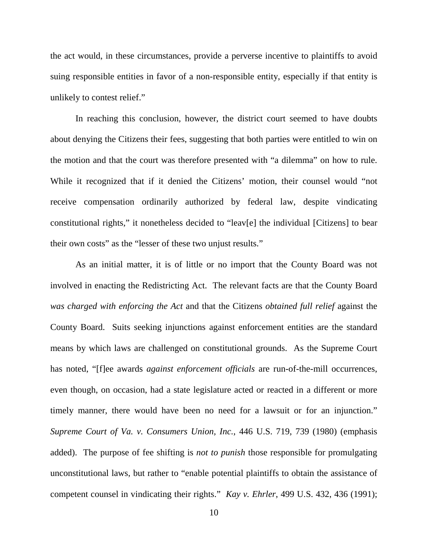the act would, in these circumstances, provide a perverse incentive to plaintiffs to avoid suing responsible entities in favor of a non-responsible entity, especially if that entity is unlikely to contest relief."

In reaching this conclusion, however, the district court seemed to have doubts about denying the Citizens their fees, suggesting that both parties were entitled to win on the motion and that the court was therefore presented with "a dilemma" on how to rule. While it recognized that if it denied the Citizens' motion, their counsel would "not receive compensation ordinarily authorized by federal law, despite vindicating constitutional rights," it nonetheless decided to "leav[e] the individual [Citizens] to bear their own costs" as the "lesser of these two unjust results."

As an initial matter, it is of little or no import that the County Board was not involved in enacting the Redistricting Act. The relevant facts are that the County Board *was charged with enforcing the Act* and that the Citizens *obtained full relief* against the County Board. Suits seeking injunctions against enforcement entities are the standard means by which laws are challenged on constitutional grounds. As the Supreme Court has noted, "[f]ee awards *against enforcement officials* are run-of-the-mill occurrences, even though, on occasion, had a state legislature acted or reacted in a different or more timely manner, there would have been no need for a lawsuit or for an injunction." *Supreme Court of Va. v. Consumers Union, Inc.*, 446 U.S. 719, 739 (1980) (emphasis added). The purpose of fee shifting is *not to punish* those responsible for promulgating unconstitutional laws, but rather to "enable potential plaintiffs to obtain the assistance of competent counsel in vindicating their rights." *Kay v. Ehrler*, 499 U.S. 432, 436 (1991);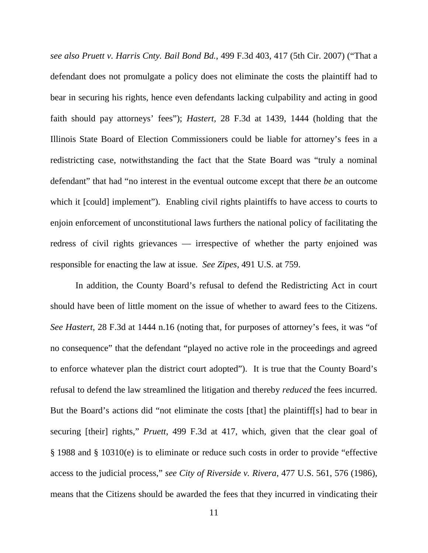*see also Pruett v. Harris Cnty. Bail Bond Bd.*, 499 F.3d 403, 417 (5th Cir. 2007) ("That a defendant does not promulgate a policy does not eliminate the costs the plaintiff had to bear in securing his rights, hence even defendants lacking culpability and acting in good faith should pay attorneys' fees"); *Hastert,* 28 F.3d at 1439, 1444 (holding that the Illinois State Board of Election Commissioners could be liable for attorney's fees in a redistricting case, notwithstanding the fact that the State Board was "truly a nominal defendant" that had "no interest in the eventual outcome except that there *be* an outcome which it [could] implement"). Enabling civil rights plaintiffs to have access to courts to enjoin enforcement of unconstitutional laws furthers the national policy of facilitating the redress of civil rights grievances — irrespective of whether the party enjoined was responsible for enacting the law at issue. *See Zipes*, 491 U.S. at 759.

In addition, the County Board's refusal to defend the Redistricting Act in court should have been of little moment on the issue of whether to award fees to the Citizens. *See Hastert*, 28 F.3d at 1444 n.16 (noting that, for purposes of attorney's fees, it was "of no consequence" that the defendant "played no active role in the proceedings and agreed to enforce whatever plan the district court adopted"). It is true that the County Board's refusal to defend the law streamlined the litigation and thereby *reduced* the fees incurred. But the Board's actions did "not eliminate the costs [that] the plaintiff[s] had to bear in securing [their] rights," *Pruett*, 499 F.3d at 417, which, given that the clear goal of § 1988 and § 10310(e) is to eliminate or reduce such costs in order to provide "effective access to the judicial process," *see City of Riverside v. Rivera*, 477 U.S. 561, 576 (1986), means that the Citizens should be awarded the fees that they incurred in vindicating their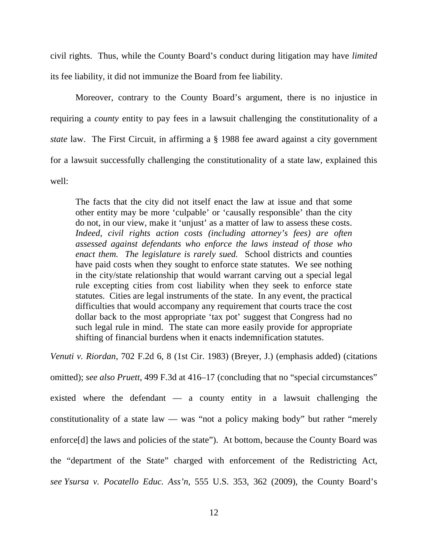civil rights. Thus, while the County Board's conduct during litigation may have *limited* its fee liability, it did not immunize the Board from fee liability.

Moreover, contrary to the County Board's argument, there is no injustice in requiring a *county* entity to pay fees in a lawsuit challenging the constitutionality of a *state* law. The First Circuit, in affirming a § 1988 fee award against a city government for a lawsuit successfully challenging the constitutionality of a state law, explained this well:

The facts that the city did not itself enact the law at issue and that some other entity may be more 'culpable' or 'causally responsible' than the city do not, in our view, make it 'unjust' as a matter of law to assess these costs. *Indeed, civil rights action costs (including attorney's fees) are often assessed against defendants who enforce the laws instead of those who enact them. The legislature is rarely sued.* School districts and counties have paid costs when they sought to enforce state statutes. We see nothing in the city/state relationship that would warrant carving out a special legal rule excepting cities from cost liability when they seek to enforce state statutes. Cities are legal instruments of the state. In any event, the practical difficulties that would accompany any requirement that courts trace the cost dollar back to the most appropriate 'tax pot' suggest that Congress had no such legal rule in mind. The state can more easily provide for appropriate shifting of financial burdens when it enacts indemnification statutes.

*Venuti v. Riordan*, 702 F.2d 6, 8 (1st Cir. 1983) (Breyer, J.) (emphasis added) (citations omitted); *see also Pruett*, 499 F.3d at 416–17 (concluding that no "special circumstances" existed where the defendant — a county entity in a lawsuit challenging the constitutionality of a state law — was "not a policy making body" but rather "merely enforce<sup>[d]</sup> the laws and policies of the state"). At bottom, because the County Board was the "department of the State" charged with enforcement of the Redistricting Act, *see Ysursa v. Pocatello Educ. Ass'n*, 555 U.S. 353, 362 (2009), the County Board's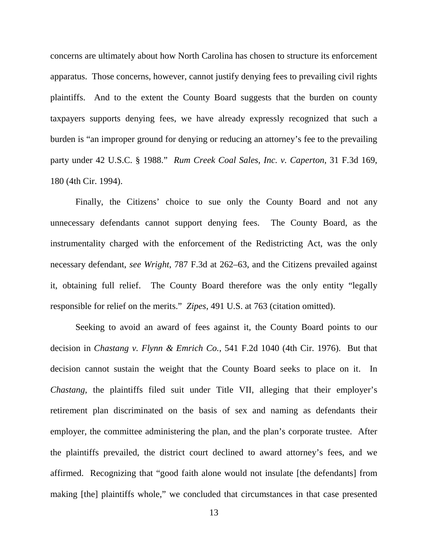concerns are ultimately about how North Carolina has chosen to structure its enforcement apparatus. Those concerns, however, cannot justify denying fees to prevailing civil rights plaintiffs. And to the extent the County Board suggests that the burden on county taxpayers supports denying fees, we have already expressly recognized that such a burden is "an improper ground for denying or reducing an attorney's fee to the prevailing party under 42 U.S.C. § 1988." *Rum Creek Coal Sales, Inc. v. Caperton*, 31 F.3d 169, 180 (4th Cir. 1994).

Finally, the Citizens' choice to sue only the County Board and not any unnecessary defendants cannot support denying fees. The County Board, as the instrumentality charged with the enforcement of the Redistricting Act, was the only necessary defendant, *see Wright*, 787 F.3d at 262–63, and the Citizens prevailed against it, obtaining full relief. The County Board therefore was the only entity "legally responsible for relief on the merits." *Zipes*, 491 U.S. at 763 (citation omitted).

Seeking to avoid an award of fees against it, the County Board points to our decision in *Chastang v. Flynn & Emrich Co.*, 541 F.2d 1040 (4th Cir. 1976). But that decision cannot sustain the weight that the County Board seeks to place on it. In *Chastang*, the plaintiffs filed suit under Title VII, alleging that their employer's retirement plan discriminated on the basis of sex and naming as defendants their employer, the committee administering the plan, and the plan's corporate trustee. After the plaintiffs prevailed, the district court declined to award attorney's fees, and we affirmed. Recognizing that "good faith alone would not insulate [the defendants] from making [the] plaintiffs whole," we concluded that circumstances in that case presented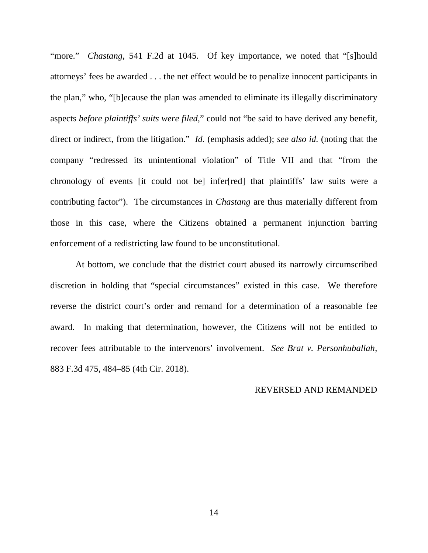"more." *Chastang*, 541 F.2d at 1045. Of key importance, we noted that "[s]hould attorneys' fees be awarded . . . the net effect would be to penalize innocent participants in the plan," who, "[b]ecause the plan was amended to eliminate its illegally discriminatory aspects *before plaintiffs' suits were filed*," could not "be said to have derived any benefit, direct or indirect, from the litigation." *Id.* (emphasis added); *see also id.* (noting that the company "redressed its unintentional violation" of Title VII and that "from the chronology of events [it could not be] infer[red] that plaintiffs' law suits were a contributing factor"). The circumstances in *Chastang* are thus materially different from those in this case, where the Citizens obtained a permanent injunction barring enforcement of a redistricting law found to be unconstitutional.

At bottom, we conclude that the district court abused its narrowly circumscribed discretion in holding that "special circumstances" existed in this case. We therefore reverse the district court's order and remand for a determination of a reasonable fee award. In making that determination, however, the Citizens will not be entitled to recover fees attributable to the intervenors' involvement. *See Brat v. Personhuballah*, 883 F.3d 475, 484–85 (4th Cir. 2018).

## REVERSED AND REMANDED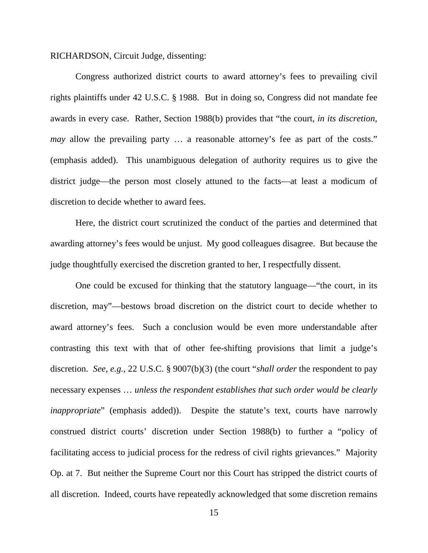RICHARDSON, Circuit Judge, dissenting:

Congress authorized district courts to award attorney's fees to prevailing civil rights plaintiffs under 42 U.S.C. § 1988. But in doing so, Congress did not mandate fee awards in every case. Rather, Section 1988(b) provides that "the court, *in its discretion*, *may* allow the prevailing party ... a reasonable attorney's fee as part of the costs." (emphasis added). This unambiguous delegation of authority requires us to give the district judge—the person most closely attuned to the facts—at least a modicum of discretion to decide whether to award fees.

Here, the district court scrutinized the conduct of the parties and determined that awarding attorney's fees would be unjust. My good colleagues disagree. But because the judge thoughtfully exercised the discretion granted to her, I respectfully dissent.

One could be excused for thinking that the statutory language—"the court, in its discretion, may"—bestows broad discretion on the district court to decide whether to award attorney's fees. Such a conclusion would be even more understandable after contrasting this text with that of other fee-shifting provisions that limit a judge's discretion. *See, e.g.*, 22 U.S.C. § 9007(b)(3) (the court "*shall order* the respondent to pay necessary expenses … *unless the respondent establishes that such order would be clearly inappropriate*" (emphasis added)). Despite the statute's text, courts have narrowly construed district courts' discretion under Section 1988(b) to further a "policy of facilitating access to judicial process for the redress of civil rights grievances." Majority Op. at 7. But neither the Supreme Court nor this Court has stripped the district courts of all discretion. Indeed, courts have repeatedly acknowledged that some discretion remains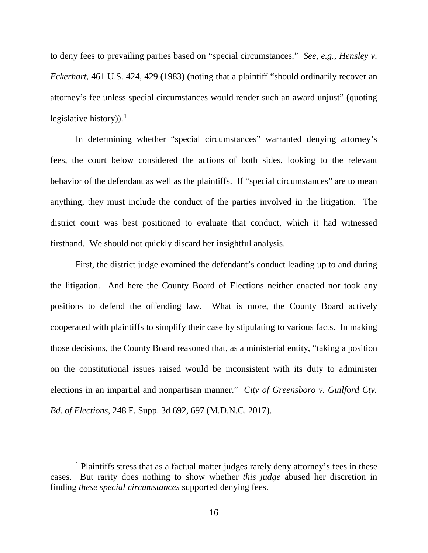to deny fees to prevailing parties based on "special circumstances." *See, e.g.*, *Hensley v. Eckerhart*, 461 U.S. 424, 429 (1983) (noting that a plaintiff "should ordinarily recover an attorney's fee unless special circumstances would render such an award unjust" (quoting legislative history).<sup>[1](#page-15-0)</sup>

In determining whether "special circumstances" warranted denying attorney's fees, the court below considered the actions of both sides, looking to the relevant behavior of the defendant as well as the plaintiffs. If "special circumstances" are to mean anything, they must include the conduct of the parties involved in the litigation. The district court was best positioned to evaluate that conduct, which it had witnessed firsthand. We should not quickly discard her insightful analysis.

First, the district judge examined the defendant's conduct leading up to and during the litigation. And here the County Board of Elections neither enacted nor took any positions to defend the offending law. What is more, the County Board actively cooperated with plaintiffs to simplify their case by stipulating to various facts. In making those decisions, the County Board reasoned that, as a ministerial entity, "taking a position on the constitutional issues raised would be inconsistent with its duty to administer elections in an impartial and nonpartisan manner." *City of Greensboro v. Guilford Cty. Bd. of Elections*, 248 F. Supp. 3d 692, 697 (M.D.N.C. 2017).

<span id="page-15-0"></span><sup>&</sup>lt;sup>1</sup> Plaintiffs stress that as a factual matter judges rarely deny attorney's fees in these cases. But rarity does nothing to show whether *this judge* abused her discretion in finding *these special circumstances* supported denying fees.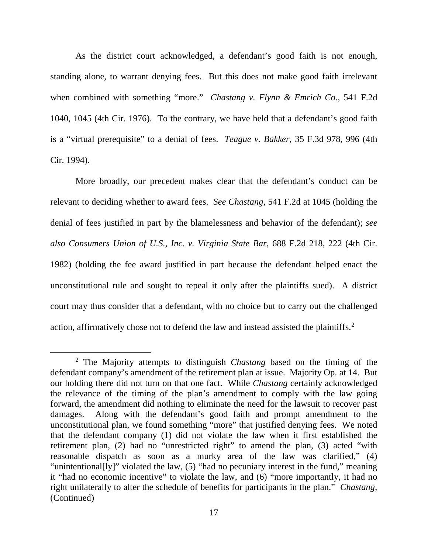As the district court acknowledged, a defendant's good faith is not enough, standing alone, to warrant denying fees. But this does not make good faith irrelevant when combined with something "more." *Chastang v. Flynn & Emrich Co.*, 541 F.2d 1040, 1045 (4th Cir. 1976). To the contrary, we have held that a defendant's good faith is a "virtual prerequisite" to a denial of fees. *Teague v. Bakker*, 35 F.3d 978, 996 (4th Cir. 1994).

More broadly, our precedent makes clear that the defendant's conduct can be relevant to deciding whether to award fees. *See Chastang*, 541 F.2d at 1045 (holding the denial of fees justified in part by the blamelessness and behavior of the defendant); *see also Consumers Union of U.S., Inc. v. Virginia State Bar*, 688 F.2d 218, 222 (4th Cir. 1982) (holding the fee award justified in part because the defendant helped enact the unconstitutional rule and sought to repeal it only after the plaintiffs sued). A district court may thus consider that a defendant, with no choice but to carry out the challenged action, affirmatively chose not to defend the law and instead assisted the plaintiffs.<sup>[2](#page-16-0)</sup>

<span id="page-16-0"></span> <sup>2</sup> The Majority attempts to distinguish *Chastang* based on the timing of the defendant company's amendment of the retirement plan at issue. Majority Op. at 14. But our holding there did not turn on that one fact. While *Chastang* certainly acknowledged the relevance of the timing of the plan's amendment to comply with the law going forward, the amendment did nothing to eliminate the need for the lawsuit to recover past damages. Along with the defendant's good faith and prompt amendment to the unconstitutional plan, we found something "more" that justified denying fees. We noted that the defendant company (1) did not violate the law when it first established the retirement plan, (2) had no "unrestricted right" to amend the plan, (3) acted "with reasonable dispatch as soon as a murky area of the law was clarified," (4) "unintentional[ly]" violated the law, (5) "had no pecuniary interest in the fund," meaning it "had no economic incentive" to violate the law, and (6) "more importantly, it had no right unilaterally to alter the schedule of benefits for participants in the plan." *Chastang*, (Continued)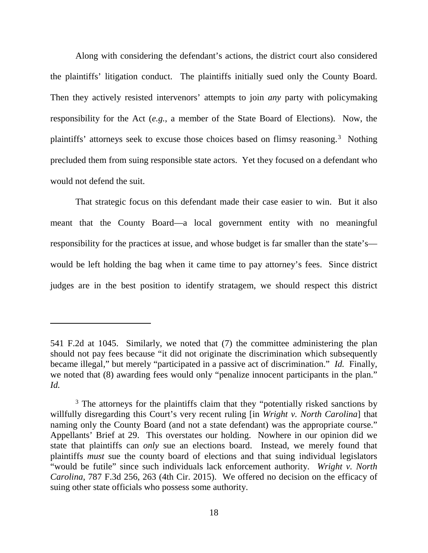Along with considering the defendant's actions, the district court also considered the plaintiffs' litigation conduct. The plaintiffs initially sued only the County Board. Then they actively resisted intervenors' attempts to join *any* party with policymaking responsibility for the Act (*e.g.*, a member of the State Board of Elections). Now, the plaintiffs' attorneys seek to excuse those choices based on flimsy reasoning.<sup>[3](#page-17-0)</sup> Nothing precluded them from suing responsible state actors. Yet they focused on a defendant who would not defend the suit.

That strategic focus on this defendant made their case easier to win. But it also meant that the County Board—a local government entity with no meaningful responsibility for the practices at issue, and whose budget is far smaller than the state's would be left holding the bag when it came time to pay attorney's fees. Since district judges are in the best position to identify stratagem, we should respect this district

 $\overline{a}$ 

<sup>541</sup> F.2d at 1045. Similarly, we noted that (7) the committee administering the plan should not pay fees because "it did not originate the discrimination which subsequently became illegal," but merely "participated in a passive act of discrimination." *Id.* Finally, we noted that (8) awarding fees would only "penalize innocent participants in the plan." *Id.*

<span id="page-17-0"></span><sup>&</sup>lt;sup>3</sup> The attorneys for the plaintiffs claim that they "potentially risked sanctions by willfully disregarding this Court's very recent ruling [in *Wright v. North Carolina*] that naming only the County Board (and not a state defendant) was the appropriate course." Appellants' Brief at 29. This overstates our holding. Nowhere in our opinion did we state that plaintiffs can *only* sue an elections board. Instead, we merely found that plaintiffs *must* sue the county board of elections and that suing individual legislators "would be futile" since such individuals lack enforcement authority. *Wright v. North Carolina*, 787 F.3d 256, 263 (4th Cir. 2015). We offered no decision on the efficacy of suing other state officials who possess some authority.